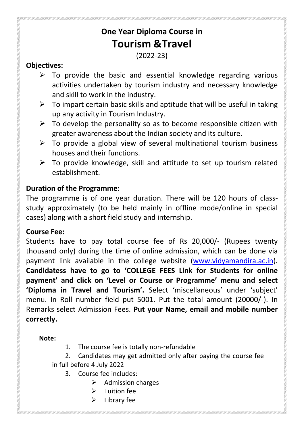# **One Year Diploma Course in Tourism &Travel**

# (2022-23)

### **Objectives:**

- $\triangleright$  To provide the basic and essential knowledge regarding various activities undertaken by tourism industry and necessary knowledge and skill to work in the industry.
- $\triangleright$  To impart certain basic skills and aptitude that will be useful in taking up any activity in Tourism Industry.
- $\triangleright$  To develop the personality so as to become responsible citizen with greater awareness about the Indian society and its culture.
- $\triangleright$  To provide a global view of several multinational tourism business houses and their functions.
- $\triangleright$  To provide knowledge, skill and attitude to set up tourism related establishment.

#### **Duration of the Programme:**

The programme is of one year duration. There will be 120 hours of classstudy approximately (to be held mainly in offline mode/online in special cases) along with a short field study and internship.

# **Course Fee:**

Students have to pay total course fee of Rs 20,000/- (Rupees twenty thousand only) during the time of online admission, which can be done via payment link available in the college website (www.vidyamandira.ac.in). **Candidatess have to go to 'COLLEGE FEES Link for Students for online payment' and click on 'Level or Course or Programme' menu and select 'Diploma in Travel and Tourism'.** Select 'miscellaneous' under 'subject' menu. In Roll number field put 5001. Put the total amount (20000/-). In Remarks select Admission Fees. **Put your Name, email and mobile number correctly.**

#### **Note:**

- 1. The course fee is totally non-refundable
- 2. Candidates may get admitted only after paying the course fee in full before 4 July 2022
	- 3. Course fee includes:
		- $\triangleright$  Admission charges
		- Tuition fee
		- $\triangleright$  Library fee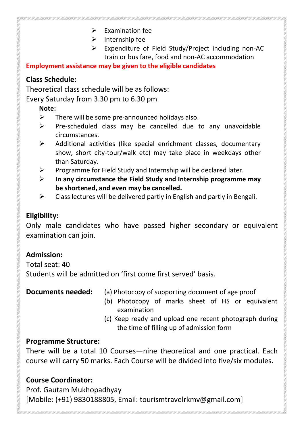- $\triangleright$  Examination fee
- $\triangleright$  Internship fee
- Expenditure of Field Study/Project including non-AC train or bus fare, food and non-AC accommodation

#### **Employment assistance may be given to the eligible candidates**

# **Class Schedule:**

Theoretical class schedule will be as follows:

Every Saturday from 3.30 pm to 6.30 pm

### **Note:**

- $\triangleright$  There will be some pre-announced holidays also.
- $\triangleright$  Pre-scheduled class may be cancelled due to any unavoidable circumstances.
- $\triangleright$  Additional activities (like special enrichment classes, documentary show, short city-tour/walk etc) may take place in weekdays other than Saturday.
- $\triangleright$  Programme for Field Study and Internship will be declared later.
- **In any circumstance the Field Study and Internship programme may be shortened, and even may be cancelled.**
- $\triangleright$  Class lectures will be delivered partly in English and partly in Bengali.

# **Eligibility:**

Only male candidates who have passed higher secondary or equivalent examination can join.

# **Admission:**

Total seat: 40

Students will be admitted on 'first come first served' basis.

- **Documents needed:** (a) Photocopy of supporting document of age proof
	- (b) Photocopy of marks sheet of HS or equivalent examination
	- (c) Keep ready and upload one recent photograph during the time of filling up of admission form

# **Programme Structure:**

There will be a total 10 Courses—nine theoretical and one practical. Each course will carry 50 marks. Each Course will be divided into five/six modules.

# **Course Coordinator:**

Prof. Gautam Mukhopadhyay [Mobile: (+91) 9830188805, Email: tourismtravelrkmv@gmail.com]